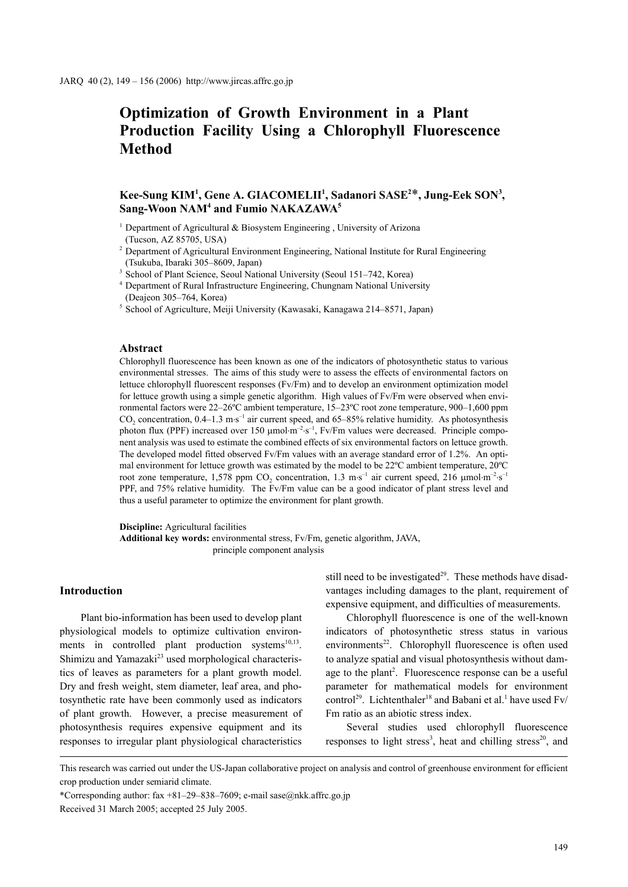# **Optimization of Growth Environment in a Plant Production Facility Using a Chlorophyll Fluorescence Method**

## Kee-Sung KIM<sup>1</sup>, Gene A. GIACOMELII<sup>1</sup>, Sadanori SASE<sup>2\*</sup>, Jung-Eek SON<sup>3</sup>, **Sang-Woon NAM4 and Fumio NAKAZAWA5**

- <sup>1</sup> Department of Agricultural  $\&$  Biosystem Engineering , University of Arizona (Tucson, AZ 85705, USA)
- <sup>2</sup> Department of Agricultural Environment Engineering, National Institute for Rural Engineering (Tsukuba, Ibaraki 305–8609, Japan)
- <sup>3</sup> School of Plant Science, Seoul National University (Seoul 151–742, Korea)
- <sup>4</sup> Department of Rural Infrastructure Engineering, Chungnam National University (Deajeon 305–764, Korea)
- <sup>5</sup> School of Agriculture, Meiji University (Kawasaki, Kanagawa 214–8571, Japan)

#### **Abstract**

Chlorophyll fluorescence has been known as one of the indicators of photosynthetic status to various environmental stresses. The aims of this study were to assess the effects of environmental factors on lettuce chlorophyll fluorescent responses (Fv/Fm) and to develop an environment optimization model for lettuce growth using a simple genetic algorithm. High values of Fv/Fm were observed when environmental factors were 22–26ºC ambient temperature, 15–23ºC root zone temperature, 900–1,600 ppm  $CO_2$  concentration, 0.4–1.3 m⋅s<sup>-1</sup> air current speed, and 65–85% relative humidity. As photosynthesis photon flux (PPF) increased over 150  $\mu$ mol⋅m<sup>-2</sup>⋅s<sup>-1</sup>, Fv/Fm values were decreased. Principle component analysis was used to estimate the combined effects of six environmental factors on lettuce growth. The developed model fitted observed Fv/Fm values with an average standard error of 1.2%. An optimal environment for lettuce growth was estimated by the model to be 22ºC ambient temperature, 20ºC root zone temperature, 1,578 ppm  $CO_2$  concentration, 1.3 m⋅s<sup>-1</sup> air current speed, 216  $\mu$ mol⋅m<sup>-2</sup>⋅s<sup>-1</sup> PPF, and 75% relative humidity. The Fv/Fm value can be a good indicator of plant stress level and thus a useful parameter to optimize the environment for plant growth.

**Discipline:** Agricultural facilities **Additional key words:** environmental stress, Fv/Fm, genetic algorithm, JAVA, principle component analysis

#### **Introduction**

Plant bio-information has been used to develop plant physiological models to optimize cultivation environments in controlled plant production systems $^{10,13}$ . Shimizu and Yamazaki<sup>23</sup> used morphological characteristics of leaves as parameters for a plant growth model. Dry and fresh weight, stem diameter, leaf area, and photosynthetic rate have been commonly used as indicators of plant growth. However, a precise measurement of photosynthesis requires expensive equipment and its responses to irregular plant physiological characteristics

still need to be investigated $2<sup>9</sup>$ . These methods have disadvantages including damages to the plant, requirement of expensive equipment, and difficulties of measurements.

Chlorophyll fluorescence is one of the well-known indicators of photosynthetic stress status in various environments<sup>22</sup>. Chlorophyll fluorescence is often used to analyze spatial and visual photosynthesis without damage to the plant<sup>2</sup>. Fluorescence response can be a useful parameter for mathematical models for environment control<sup>29</sup>. Lichtenthaler<sup>18</sup> and Babani et al.<sup>1</sup> have used Fv/ Fm ratio as an abiotic stress index.

Several studies used chlorophyll fluorescence responses to light stress<sup>3</sup>, heat and chilling stress<sup>20</sup>, and

This research was carried out under the US-Japan collaborative project on analysis and control of greenhouse environment for efficient crop production under semiarid climate.

<sup>\*</sup>Corresponding author:  $\frac{29-838-7609}{e}$ ; e-mail sase $\frac{a}{2}$ nkk.affrc.go.jp

Received 31 March 2005; accepted 25 July 2005.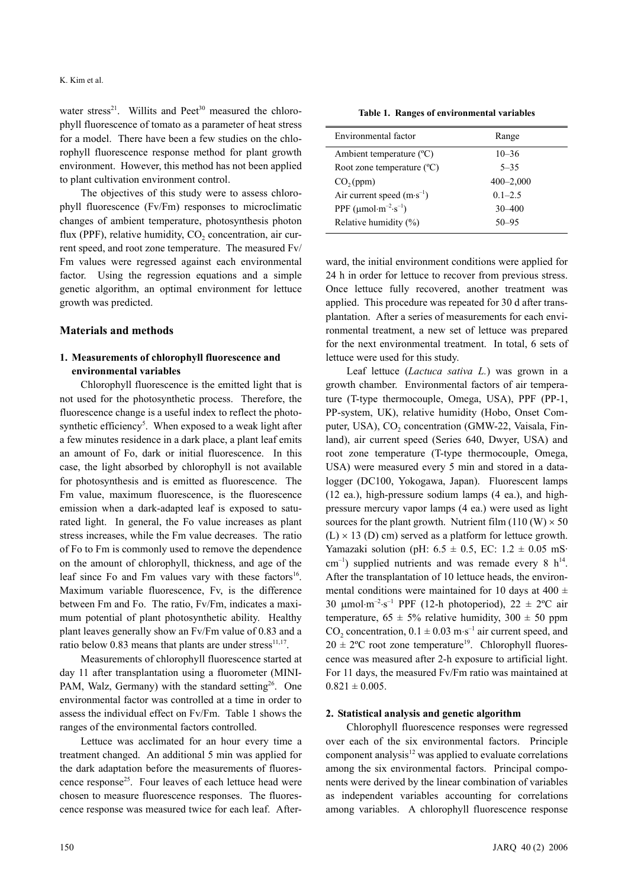water stress<sup>21</sup>. Willits and Peet<sup>30</sup> measured the chlorophyll fluorescence of tomato as a parameter of heat stress for a model. There have been a few studies on the chlorophyll fluorescence response method for plant growth environment. However, this method has not been applied to plant cultivation environment control.

The objectives of this study were to assess chlorophyll fluorescence (Fv/Fm) responses to microclimatic changes of ambient temperature, photosynthesis photon flux (PPF), relative humidity,  $CO<sub>2</sub>$  concentration, air current speed, and root zone temperature. The measured Fv/ Fm values were regressed against each environmental factor. Using the regression equations and a simple genetic algorithm, an optimal environment for lettuce growth was predicted.

#### **Materials and methods**

## **1. Measurements of chlorophyll fluorescence and environmental variables**

Chlorophyll fluorescence is the emitted light that is not used for the photosynthetic process. Therefore, the fluorescence change is a useful index to reflect the photosynthetic efficiency<sup>5</sup>. When exposed to a weak light after a few minutes residence in a dark place, a plant leaf emits an amount of Fo, dark or initial fluorescence. In this case, the light absorbed by chlorophyll is not available for photosynthesis and is emitted as fluorescence. The Fm value, maximum fluorescence, is the fluorescence emission when a dark-adapted leaf is exposed to saturated light. In general, the Fo value increases as plant stress increases, while the Fm value decreases. The ratio of Fo to Fm is commonly used to remove the dependence on the amount of chlorophyll, thickness, and age of the leaf since Fo and Fm values vary with these factors<sup>16</sup>. Maximum variable fluorescence, Fv, is the difference between Fm and Fo. The ratio, Fv/Fm, indicates a maximum potential of plant photosynthetic ability. Healthy plant leaves generally show an Fv/Fm value of 0.83 and a ratio below 0.83 means that plants are under stress $^{11,17}$ .

Measurements of chlorophyll fluorescence started at day 11 after transplantation using a fluorometer (MINI-PAM, Walz, Germany) with the standard setting<sup>26</sup>. One environmental factor was controlled at a time in order to assess the individual effect on Fv/Fm. Table 1 shows the ranges of the environmental factors controlled.

Lettuce was acclimated for an hour every time a treatment changed. An additional 5 min was applied for the dark adaptation before the measurements of fluorescence response<sup>25</sup>. Four leaves of each lettuce head were chosen to measure fluorescence responses. The fluorescence response was measured twice for each leaf. After-

**Table 1. Ranges of environmental variables**

| Environmental factor                                           | Range         |
|----------------------------------------------------------------|---------------|
| Ambient temperature $(^{\circ}C)$                              | $10 - 36$     |
| Root zone temperature $(^{\circ}C)$                            | $5 - 35$      |
| CO <sub>2</sub> (ppm)                                          | $400 - 2,000$ |
| Air current speed $(m \cdot s^{-1})$                           | $0.1 - 2.5$   |
| PPF $(\mu \text{mol} \cdot \text{m}^{-2} \cdot \text{s}^{-1})$ | $30 - 400$    |
| Relative humidity (%)                                          | $50 - 95$     |

ward, the initial environment conditions were applied for 24 h in order for lettuce to recover from previous stress. Once lettuce fully recovered, another treatment was applied. This procedure was repeated for 30 d after transplantation. After a series of measurements for each environmental treatment, a new set of lettuce was prepared for the next environmental treatment. In total, 6 sets of lettuce were used for this study.

Leaf lettuce (*Lactuca sativa L.*) was grown in a growth chamber. Environmental factors of air temperature (T-type thermocouple, Omega, USA), PPF (PP-1, PP-system, UK), relative humidity (Hobo, Onset Computer, USA), CO<sub>2</sub> concentration (GMW-22, Vaisala, Finland), air current speed (Series 640, Dwyer, USA) and root zone temperature (T-type thermocouple, Omega, USA) were measured every 5 min and stored in a datalogger (DC100, Yokogawa, Japan). Fluorescent lamps (12 ea.), high-pressure sodium lamps (4 ea.), and highpressure mercury vapor lamps (4 ea.) were used as light sources for the plant growth. Nutrient film  $(110 \, (W) \times 50)$  $(L) \times 13$  (D) cm) served as a platform for lettuce growth. Yamazaki solution (pH:  $6.5 \pm 0.5$ , EC:  $1.2 \pm 0.05$  mS·  $cm^{-1}$ ) supplied nutrients and was remade every 8 h<sup>14</sup>. After the transplantation of 10 lettuce heads, the environmental conditions were maintained for 10 days at 400  $\pm$ 30  $\mu$ mol⋅m<sup>-2</sup>⋅s<sup>-1</sup> PPF (12-h photoperiod), 22 ± 2°C air temperature,  $65 \pm 5\%$  relative humidity,  $300 \pm 50$  ppm CO<sub>2</sub> concentration,  $0.1 \pm 0.03$  m⋅s<sup>-1</sup> air current speed, and  $20 \pm 2$ <sup>o</sup>C root zone temperature<sup>19</sup>. Chlorophyll fluorescence was measured after 2-h exposure to artificial light. For 11 days, the measured Fv/Fm ratio was maintained at  $0.821 \pm 0.005$ .

#### **2. Statistical analysis and genetic algorithm**

Chlorophyll fluorescence responses were regressed over each of the six environmental factors. Principle component analysis $12$  was applied to evaluate correlations among the six environmental factors. Principal components were derived by the linear combination of variables as independent variables accounting for correlations among variables. A chlorophyll fluorescence response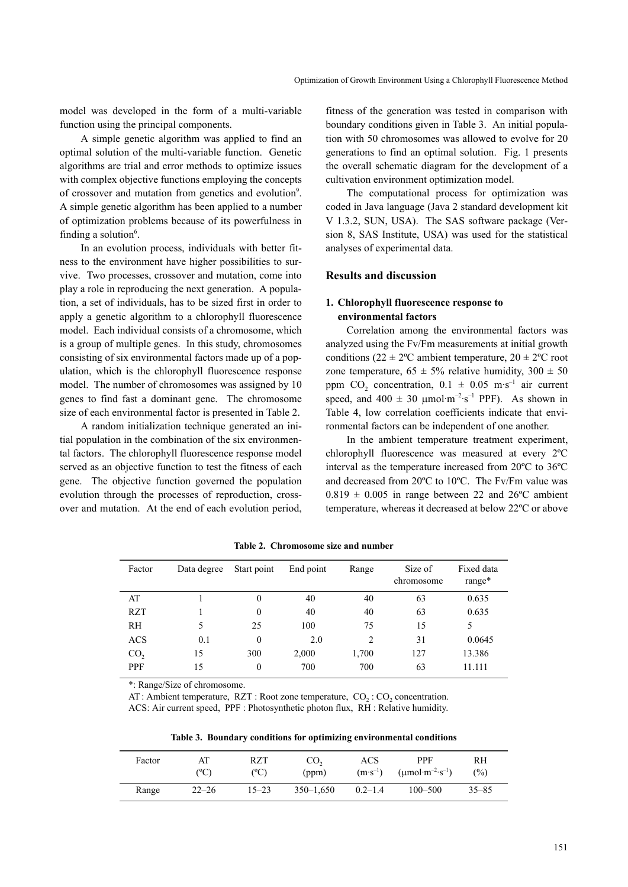model was developed in the form of a multi-variable function using the principal components.

A simple genetic algorithm was applied to find an optimal solution of the multi-variable function. Genetic algorithms are trial and error methods to optimize issues with complex objective functions employing the concepts of crossover and mutation from genetics and evolution<sup>9</sup>. A simple genetic algorithm has been applied to a number of optimization problems because of its powerfulness in finding a solution<sup>6</sup>.

In an evolution process, individuals with better fitness to the environment have higher possibilities to survive. Two processes, crossover and mutation, come into play a role in reproducing the next generation. A population, a set of individuals, has to be sized first in order to apply a genetic algorithm to a chlorophyll fluorescence model. Each individual consists of a chromosome, which is a group of multiple genes. In this study, chromosomes consisting of six environmental factors made up of a population, which is the chlorophyll fluorescence response model. The number of chromosomes was assigned by 10 genes to find fast a dominant gene. The chromosome size of each environmental factor is presented in Table 2.

A random initialization technique generated an initial population in the combination of the six environmental factors. The chlorophyll fluorescence response model served as an objective function to test the fitness of each gene. The objective function governed the population evolution through the processes of reproduction, crossover and mutation. At the end of each evolution period,

fitness of the generation was tested in comparison with boundary conditions given in Table 3. An initial population with 50 chromosomes was allowed to evolve for 20 generations to find an optimal solution. Fig. 1 presents the overall schematic diagram for the development of a cultivation environment optimization model.

The computational process for optimization was coded in Java language (Java 2 standard development kit V 1.3.2, SUN, USA). The SAS software package (Version 8, SAS Institute, USA) was used for the statistical analyses of experimental data.

#### **Results and discussion**

## **1. Chlorophyll fluorescence response to environmental factors**

Correlation among the environmental factors was analyzed using the Fv/Fm measurements at initial growth conditions ( $22 \pm 2$ °C ambient temperature,  $20 \pm 2$ °C root zone temperature,  $65 \pm 5\%$  relative humidity,  $300 \pm 50$ ppm CO<sub>2</sub> concentration,  $0.1 \pm 0.05$  m·s<sup>-1</sup> air current speed, and  $400 \pm 30$  umol·m<sup>-2</sup>·s<sup>-1</sup> PPF). As shown in Table 4, low correlation coefficients indicate that environmental factors can be independent of one another.

In the ambient temperature treatment experiment, chlorophyll fluorescence was measured at every 2ºC interval as the temperature increased from 20ºC to 36ºC and decreased from 20ºC to 10ºC. The Fv/Fm value was  $0.819 \pm 0.005$  in range between 22 and 26°C ambient temperature, whereas it decreased at below 22ºC or above

| Factor          | Data degree | Start point    | End point | Range | Size of<br>chromosome | Fixed data<br>$range*$ |
|-----------------|-------------|----------------|-----------|-------|-----------------------|------------------------|
| AT              |             | 0              | 40        | 40    | 63                    | 0.635                  |
| <b>RZT</b>      |             | 0              | 40        | 40    | 63                    | 0.635                  |
| <b>RH</b>       | 5           | 25             | 100       | 75    | 15                    | 5                      |
| <b>ACS</b>      | 0.1         | $\overline{0}$ | 2.0       | 2     | 31                    | 0.0645                 |
| CO <sub>2</sub> | 15          | 300            | 2,000     | 1,700 | 127                   | 13.386                 |
| <b>PPF</b>      | 15          | 0              | 700       | 700   | 63                    | 11.111                 |

**Table 2. Chromosome size and number**

\*: Range/Size of chromosome.

AT: Ambient temperature, RZT : Root zone temperature,  $CO_2$  :  $CO_2$  concentration. ACS: Air current speed, PPF : Photosynthetic photon flux, RH : Relative humidity.

**Table 3. Boundary conditions for optimizing environmental conditions**

| Factor | AT<br>(°C) | RZT<br>(°C) | CO <sub>2</sub><br>(ppm) | ACS<br>$(m \cdot s^{-1})$ | <b>PPF</b><br>$(\text{µmol}\cdot\text{m}^{-2}\cdot\text{s}^{-1})$ | RH<br>$(\%)$ |  |
|--------|------------|-------------|--------------------------|---------------------------|-------------------------------------------------------------------|--------------|--|
| Range  | $22 - 26$  | $15 - 23$   | $350 - 1.650$            | $0.2 - 1.4$               | $100 - 500$                                                       | $35 - 85$    |  |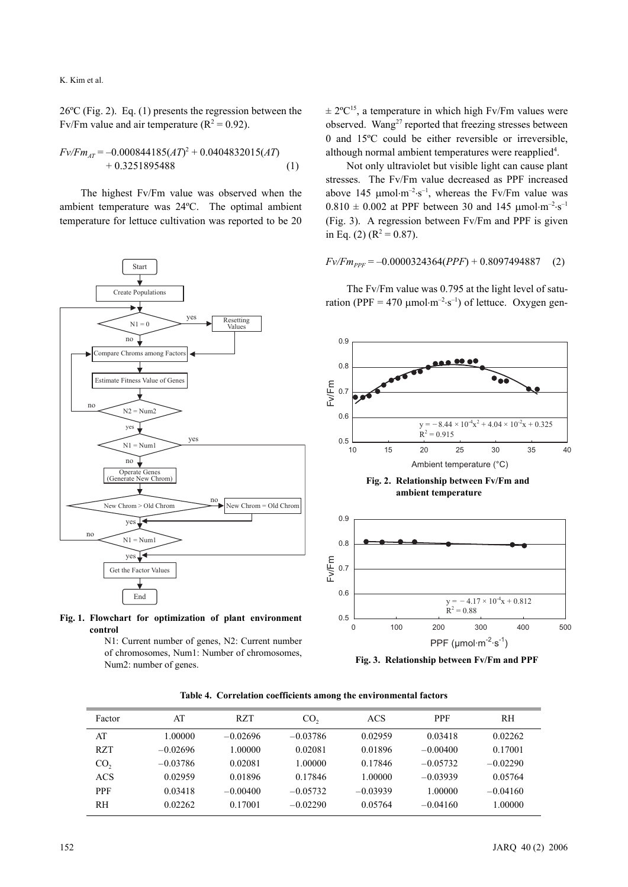K. Kim et al.

26ºC (Fig. 2). Eq. (1) presents the regression between the Fv/Fm value and air temperature ( $R^2 = 0.92$ ).

$$
Fv/Fm_{AT} = -0.000844185(AT)^{2} + 0.0404832015(AT) + 0.3251895488
$$
 (1)

The highest Fv/Fm value was observed when the ambient temperature was 24ºC. The optimal ambient temperature for lettuce cultivation was reported to be 20





N1: Current number of genes, N2: Current number of chromosomes, Num1: Number of chromosomes, Num2: number of genes.

 $\pm 2^{\circ}C^{15}$ , a temperature in which high Fv/Fm values were observed. Wang<sup>27</sup> reported that freezing stresses between 0 and 15ºC could be either reversible or irreversible, although normal ambient temperatures were reapplied<sup>4</sup>.

Not only ultraviolet but visible light can cause plant stresses. The Fv/Fm value decreased as PPF increased above 145  $\mu$ mol⋅m<sup>-2</sup>⋅s<sup>-1</sup>, whereas the Fv/Fm value was  $0.810 \pm 0.002$  at PPF between 30 and 145  $\mu$ mol·m<sup>-2</sup>·s<sup>-1</sup> (Fig. 3). A regression between Fv/Fm and PPF is given in Eq. (2) ( $R^2 = 0.87$ ).

$$
Fv/Fm_{PPF} = -0.0000324364(PPF) + 0.8097494887
$$
 (2)

The Fv/Fm value was 0.795 at the light level of saturation (PPF = 470  $\mu$ mol⋅m<sup>-2</sup>⋅s<sup>-1</sup>) of lettuce. Oxygen gen-



**Fig. 3. Relationship between Fv/Fm and PPF**

| Factor     | AT         | <b>RZT</b> | CO <sub>2</sub> | ACS        | <b>PPF</b> | RH         |
|------------|------------|------------|-----------------|------------|------------|------------|
| AT         | 1.00000    | $-0.02696$ | $-0.03786$      | 0.02959    | 0.03418    | 0.02262    |
| <b>RZT</b> | $-0.02696$ | 1.00000    | 0.02081         | 0.01896    | $-0.00400$ | 0.17001    |
| CO,        | $-0.03786$ | 0.02081    | 1.00000         | 0.17846    | $-0.05732$ | $-0.02290$ |
| ACS        | 0.02959    | 0.01896    | 0.17846         | 1.00000    | $-0.03939$ | 0.05764    |
| <b>PPF</b> | 0.03418    | $-0.00400$ | $-0.05732$      | $-0.03939$ | 1.00000    | $-0.04160$ |
| RH         | 0.02262    | 0.17001    | $-0.02290$      | 0.05764    | $-0.04160$ | 1.00000    |

**Table 4. Correlation coefficients among the environmental factors**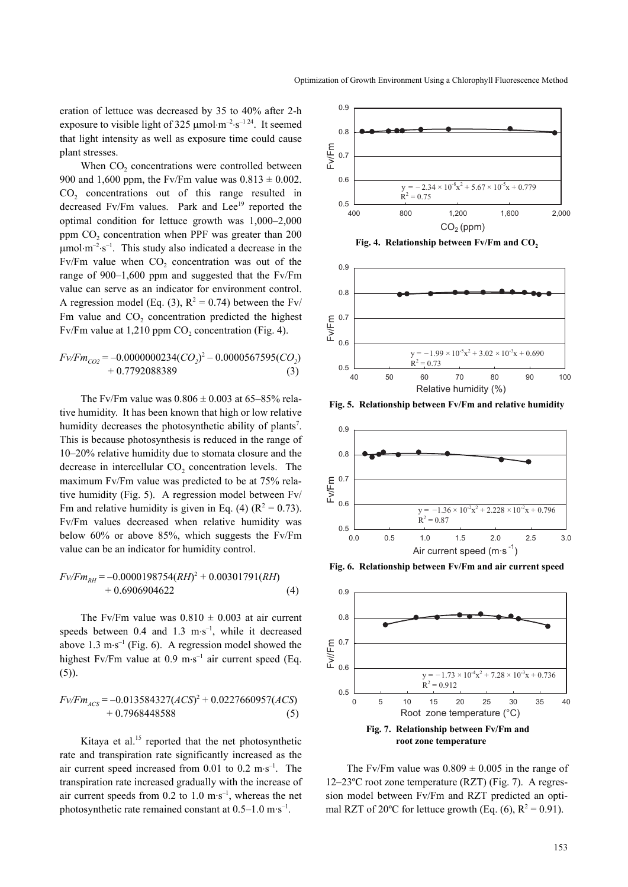eration of lettuce was decreased by 35 to 40% after 2-h exposure to visible light of 325  $\mu$ mol⋅m<sup>-2</sup>⋅s<sup>-124</sup>. It seemed that light intensity as well as exposure time could cause plant stresses.

When CO<sub>2</sub> concentrations were controlled between 900 and 1,600 ppm, the Fv/Fm value was  $0.813 \pm 0.002$ . CO<sub>2</sub> concentrations out of this range resulted in decreased Fv/Fm values. Park and Lee<sup>19</sup> reported the optimal condition for lettuce growth was 1,000–2,000 ppm CO<sub>2</sub> concentration when PPF was greater than 200  $\mu$ mol⋅m<sup>-2</sup>⋅s<sup>-1</sup>. This study also indicated a decrease in the Fv/Fm value when  $CO<sub>2</sub>$  concentration was out of the range of 900–1,600 ppm and suggested that the Fv/Fm value can serve as an indicator for environment control. A regression model (Eq. (3),  $R^2 = 0.74$ ) between the Fv/ Fm value and CO<sub>2</sub> concentration predicted the highest Fv/Fm value at  $1,210$  ppm CO<sub>2</sub> concentration (Fig. 4).

$$
Fv/Fm_{CO2} = -0.0000000234 (CO2)2 - 0.0000567595 (CO2) + 0.7792088389
$$
 (3)

The Fv/Fm value was  $0.806 \pm 0.003$  at 65–85% relative humidity. It has been known that high or low relative humidity decreases the photosynthetic ability of plants<sup>7</sup>. This is because photosynthesis is reduced in the range of 10–20% relative humidity due to stomata closure and the decrease in intercellular  $CO<sub>2</sub>$  concentration levels. The maximum Fv/Fm value was predicted to be at 75% relative humidity (Fig. 5). A regression model between Fv/ Fm and relative humidity is given in Eq. (4) ( $R^2 = 0.73$ ). Fv/Fm values decreased when relative humidity was below 60% or above 85%, which suggests the Fv/Fm value can be an indicator for humidity control.

$$
Fv/Fm_{RH} = -0.0000198754(RH)^{2} + 0.00301791(RH) + 0.6906904622
$$
 (4)

The Fv/Fm value was  $0.810 \pm 0.003$  at air current speeds between 0.4 and 1.3 m⋅s<sup>-1</sup>, while it decreased above 1.3 m⋅s<sup>-1</sup> (Fig. 6). A regression model showed the highest Fv/Fm value at 0.9 m⋅s<sup>-1</sup> air current speed (Eq. (5)).

$$
Fv/Fm_{ACS} = -0.013584327(ACS)^{2} + 0.0227660957(ACS)
$$
  
+ 0.7968448588 (5)

Kitaya et al.<sup>15</sup> reported that the net photosynthetic rate and transpiration rate significantly increased as the air current speed increased from  $0.01$  to  $0.2$  m⋅s<sup>-1</sup>. The transpiration rate increased gradually with the increase of air current speeds from  $0.2$  to  $1.0 \text{ m} \cdot \text{s}^{-1}$ , whereas the net photosynthetic rate remained constant at  $0.5-1.0 \text{ m} \cdot \text{s}^{-1}$ .



Fig. 4. Relationship between Fv/Fm and CO<sub>2</sub>



**Fig. 5. Relationship between Fv/Fm and relative humidity**



**Fig. 6. Relationship between Fv/Fm and air current speed**



The Fv/Fm value was  $0.809 \pm 0.005$  in the range of 12–23ºC root zone temperature (RZT) (Fig. 7). A regression model between Fv/Fm and RZT predicted an optimal RZT of 20 $^{\circ}$ C for lettuce growth (Eq. (6), R<sup>2</sup> = 0.91).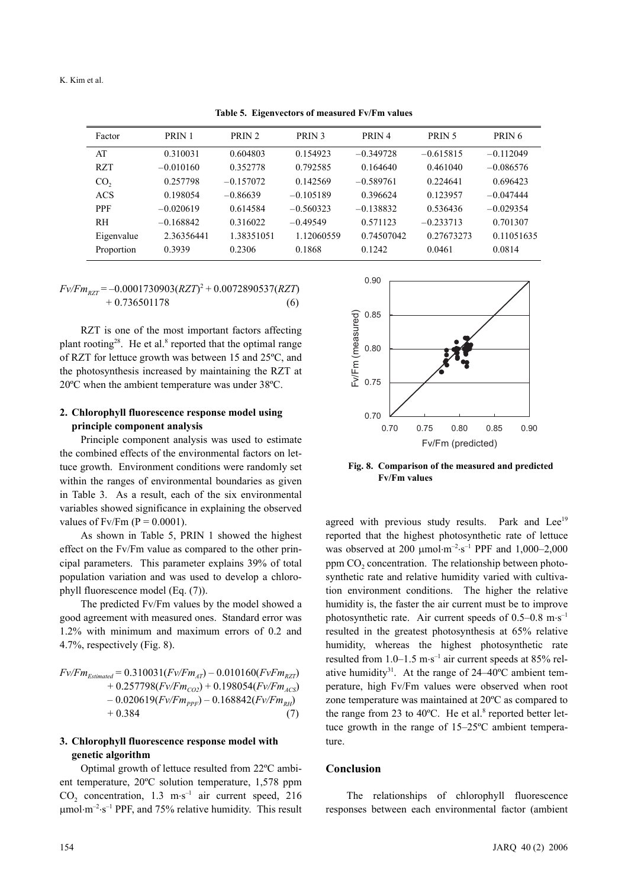Factor PRIN 1 PRIN 2 PRIN 3 PRIN 4 PRIN 5 PRIN 6 AT 0.310031 0.604803 0.154923 –0.349728 –0.615815 –0.112049 RZT –0.010160 0.352778 0.792585 0.164640 0.461040 –0.086576  $CO<sub>2</sub>$  0.257798 –0.157072 0.142569 –0.589761 0.224641 0.696423 ACS 0.198054 –0.86639 –0.105189 0.396624 0.123957 –0.047444 PPF –0.020619 0.614584 –0.560323 –0.138832 0.536436 –0.029354 RH –0.168842 0.316022 –0.49549 0.571123 –0.233713 0.701307 Eigenvalue 2.36356441 1.38351051 1.12060559 0.74507042 0.27673273 0.11051635 Proportion 0.3939 0.2306 0.1868 0.1242 0.0461 0.0814

**Table 5. Eigenvectors of measured Fv/Fm values**

$$
Fv/Fm_{RZT} = -0.0001730903(RZT)^{2} + 0.0072890537(RZT)
$$
  
+ 0.736501178 (6)

RZT is one of the most important factors affecting plant rooting<sup>28</sup>. He et al.<sup>8</sup> reported that the optimal range of RZT for lettuce growth was between 15 and 25ºC, and the photosynthesis increased by maintaining the RZT at 20ºC when the ambient temperature was under 38ºC.

## **2. Chlorophyll fluorescence response model using principle component analysis**

Principle component analysis was used to estimate the combined effects of the environmental factors on lettuce growth. Environment conditions were randomly set within the ranges of environmental boundaries as given in Table 3. As a result, each of the six environmental variables showed significance in explaining the observed values of Fv/Fm  $(P = 0.0001)$ .

As shown in Table 5, PRIN 1 showed the highest effect on the Fv/Fm value as compared to the other principal parameters. This parameter explains 39% of total population variation and was used to develop a chlorophyll fluorescence model (Eq. (7)).

The predicted Fv/Fm values by the model showed a good agreement with measured ones. Standard error was 1.2% with minimum and maximum errors of 0.2 and 4.7%, respectively (Fig. 8).

| $Fv/Fm_{Estimated} = 0.310031(Fv/Fm_{AT}) - 0.010160(FvFm_{RZT})$ |     |
|-------------------------------------------------------------------|-----|
| + 0.257798( $Fv/Fm_{CO2}$ ) + 0.198054( $Fv/Fm_{ACS}$ )           |     |
| $-0.020619(Fv/Fm_{PPF}) - 0.168842(Fv/Fm_{RH})$                   |     |
| $+0.384$                                                          | (7) |

#### **3. Chlorophyll fluorescence response model with genetic algorithm**

Optimal growth of lettuce resulted from 22ºC ambient temperature, 20ºC solution temperature, 1,578 ppm  $CO<sub>2</sub>$  concentration, 1.3 m⋅s<sup>-1</sup> air current speed, 216  $\mu$ mol⋅m<sup>-2</sup>⋅s<sup>-1</sup> PPF, and 75% relative humidity. This result



**Fig. 8. Comparison of the measured and predicted Fv/Fm values**

agreed with previous study results. Park and Lee<sup>19</sup> reported that the highest photosynthetic rate of lettuce was observed at 200  $\mu$ mol⋅m<sup>-2</sup>⋅s<sup>-1</sup> PPF and 1,000-2,000 ppm  $CO<sub>2</sub>$  concentration. The relationship between photosynthetic rate and relative humidity varied with cultivation environment conditions. The higher the relative humidity is, the faster the air current must be to improve photosynthetic rate. Air current speeds of  $0.5-0.8 \text{ m} \cdot \text{s}^{-1}$ resulted in the greatest photosynthesis at 65% relative humidity, whereas the highest photosynthetic rate resulted from  $1.0-1.5$  m⋅s<sup>-1</sup> air current speeds at 85% relative humidity<sup>31</sup>. At the range of  $24-40^{\circ}$ C ambient temperature, high Fv/Fm values were observed when root zone temperature was maintained at 20ºC as compared to the range from 23 to  $40^{\circ}$ C. He et al.<sup>8</sup> reported better lettuce growth in the range of 15–25ºC ambient temperature.

#### **Conclusion**

The relationships of chlorophyll fluorescence responses between each environmental factor (ambient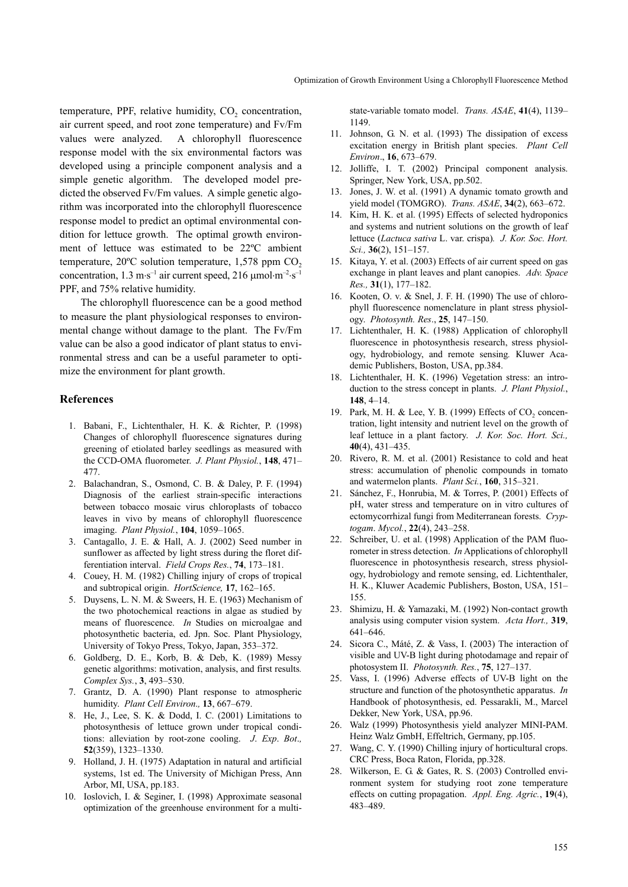temperature, PPF, relative humidity, CO<sub>2</sub> concentration, air current speed, and root zone temperature) and Fv/Fm values were analyzed. A chlorophyll fluorescence response model with the six environmental factors was developed using a principle component analysis and a simple genetic algorithm. The developed model predicted the observed Fv/Fm values. A simple genetic algorithm was incorporated into the chlorophyll fluorescence response model to predict an optimal environmental condition for lettuce growth. The optimal growth environment of lettuce was estimated to be 22ºC ambient temperature,  $20^{\circ}$ C solution temperature, 1,578 ppm CO<sub>2</sub> concentration,  $1.3 \text{ m} \cdot \text{s}^{-1}$  air current speed,  $216 \text{ µmol} \cdot \text{m}^{-2} \cdot \text{s}^{-1}$ PPF, and 75% relative humidity.

The chlorophyll fluorescence can be a good method to measure the plant physiological responses to environmental change without damage to the plant. The Fv/Fm value can be also a good indicator of plant status to environmental stress and can be a useful parameter to optimize the environment for plant growth.

#### **References**

- 1. Babani, F., Lichtenthaler, H. K. & Richter, P. (1998) Changes of chlorophyll fluorescence signatures during greening of etiolated barley seedlings as measured with the CCD-OMA fluorometer. *J. Plant Physiol.*, **148**, 471– 477.
- 2. Balachandran, S., Osmond, C. B. & Daley, P. F. (1994) Diagnosis of the earliest strain-specific interactions between tobacco mosaic virus chloroplasts of tobacco leaves in vivo by means of chlorophyll fluorescence imaging. *Plant Physiol.*, **104**, 1059–1065.
- 3. Cantagallo, J. E. & Hall, A. J. (2002) Seed number in sunflower as affected by light stress during the floret differentiation interval. *Field Crops Res.*, **74**, 173–181.
- 4. Couey, H. M. (1982) Chilling injury of crops of tropical and subtropical origin. *HortScience,* **17**, 162–165.
- 5. Duysens, L. N. M. & Sweers, H. E. (1963) Mechanism of the two photochemical reactions in algae as studied by means of fluorescence. *In* Studies on microalgae and photosynthetic bacteria, ed. Jpn. Soc. Plant Physiology, University of Tokyo Press, Tokyo, Japan, 353–372.
- 6. Goldberg, D. E., Korb, B. & Deb, K. (1989) Messy genetic algorithms: motivation, analysis, and first results*. Complex Sys.*, **3**, 493–530.
- 7. Grantz, D. A. (1990) Plant response to atmospheric humidity. *Plant Cell Environ*.*,* **13**, 667–679.
- 8. He, J., Lee, S. K. & Dodd, I. C. (2001) Limitations to photosynthesis of lettuce grown under tropical conditions: alleviation by root-zone cooling. *J*. *Exp*. *Bot*.*,* **52**(359), 1323–1330.
- 9. Holland, J. H. (1975) Adaptation in natural and artificial systems, 1st ed. The University of Michigan Press, Ann Arbor, MI, USA, pp.183.
- 10. Ioslovich, I. & Seginer, I. (1998) Approximate seasonal optimization of the greenhouse environment for a multi-

state-variable tomato model. *Trans. ASAE*, **41**(4), 1139– 1149.

- 11. Johnson, G. N. et al. (1993) The dissipation of excess excitation energy in British plant species. *Plant Cell Environ*., **16**, 673–679.
- 12. Jolliffe, I. T. (2002) Principal component analysis. Springer, New York, USA, pp.502.
- 13. Jones, J. W. et al. (1991) A dynamic tomato growth and yield model (TOMGRO). *Trans. ASAE*, **34**(2), 663–672.
- 14. Kim, H. K. et al. (1995) Effects of selected hydroponics and systems and nutrient solutions on the growth of leaf lettuce (*Lactuca sativa* L. var. crispa)*. J. Kor. Soc. Hort. Sci.,* **36**(2), 151–157.
- 15. Kitaya, Y. et al. (2003) Effects of air current speed on gas exchange in plant leaves and plant canopies. *Adv. Space Res.,* **31**(1), 177–182.
- 16. Kooten, O. v. & Snel, J. F. H. (1990) The use of chlorophyll fluorescence nomenclature in plant stress physiology. *Photosynth. Res*., **25**, 147–150.
- 17. Lichtenthaler, H. K. (1988) Application of chlorophyll fluorescence in photosynthesis research, stress physiology, hydrobiology, and remote sensing*.* Kluwer Academic Publishers, Boston, USA, pp.384.
- 18. Lichtenthaler, H. K. (1996) Vegetation stress: an introduction to the stress concept in plants. *J. Plant Physiol.*, **148**, 4–14.
- 19. Park, M. H. & Lee, Y. B. (1999) Effects of CO<sub>2</sub> concentration, light intensity and nutrient level on the growth of leaf lettuce in a plant factory. *J. Kor. Soc. Hort. Sci.,* **40**(4), 431–435.
- 20. Rivero, R. M. et al. (2001) Resistance to cold and heat stress: accumulation of phenolic compounds in tomato and watermelon plants. *Plant Sci.*, **160**, 315–321.
- 21. Sánchez, F., Honrubia, M. & Torres, P. (2001) Effects of pH, water stress and temperature on in vitro cultures of ectomycorrhizal fungi from Mediterranean forests. *Cryptogam*. *Mycol.*, **22**(4), 243–258.
- 22. Schreiber, U. et al. (1998) Application of the PAM fluorometer in stress detection. *In* Applications of chlorophyll fluorescence in photosynthesis research, stress physiology, hydrobiology and remote sensing, ed. Lichtenthaler, H. K., Kluwer Academic Publishers, Boston, USA, 151– 155.
- 23. Shimizu, H. & Yamazaki, M. (1992) Non-contact growth analysis using computer vision system. *Acta Hort.,* **319**, 641–646.
- 24. Sicora C., Máté, Z. & Vass, I. (2003) The interaction of visible and UV-B light during photodamage and repair of photosystem II. *Photosynth. Res.*, **75**, 127–137.
- 25. Vass, I. (1996) Adverse effects of UV-B light on the structure and function of the photosynthetic apparatus. *In* Handbook of photosynthesis, ed. Pessarakli, M., Marcel Dekker, New York, USA, pp.96.
- 26. Walz (1999) Photosynthesis yield analyzer MINI-PAM. Heinz Walz GmbH, Effeltrich, Germany, pp.105.
- 27. Wang, C. Y. (1990) Chilling injury of horticultural crops. CRC Press, Boca Raton, Florida, pp.328.
- 28. Wilkerson, E. G. & Gates, R. S. (2003) Controlled environment system for studying root zone temperature effects on cutting propagation. *Appl. Eng. Agric.*, **19**(4), 483–489.